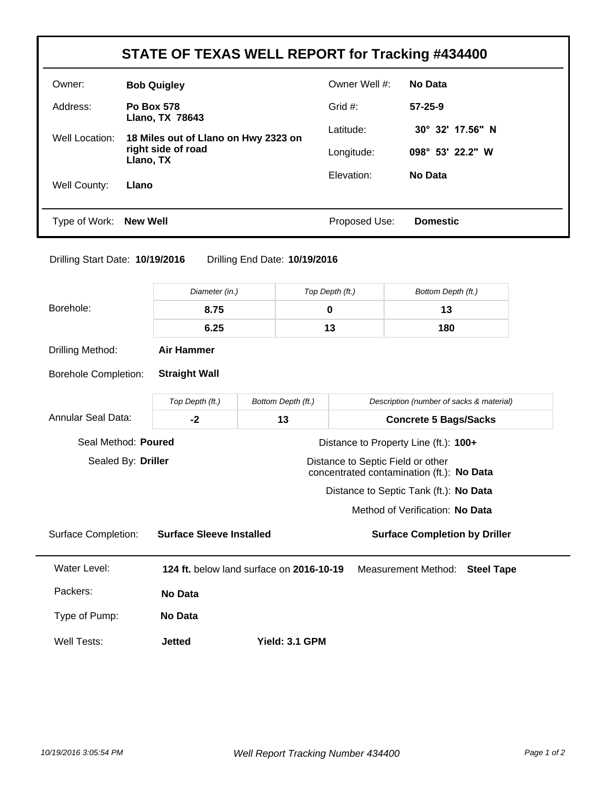| STATE OF TEXAS WELL REPORT for Tracking #434400 |                                             |               |                  |  |
|-------------------------------------------------|---------------------------------------------|---------------|------------------|--|
| Owner:                                          | <b>Bob Quigley</b>                          | Owner Well #: | No Data          |  |
| Address:                                        | <b>Po Box 578</b><br><b>Llano, TX 78643</b> | Grid $#$ :    | $57 - 25 - 9$    |  |
| Well Location:                                  | 18 Miles out of Llano on Hwy 2323 on        | Latitude:     | 30° 32' 17.56" N |  |
|                                                 | right side of road<br>Llano, TX             | Longitude:    | 098° 53' 22.2" W |  |
| Well County:                                    | Llano                                       | Elevation:    | No Data          |  |
| Type of Work: New Well                          |                                             | Proposed Use: | <b>Domestic</b>  |  |

-

| Drilling Start Date: 10/19/2016 | Drilling End Date: 10/19/2016 |  |
|---------------------------------|-------------------------------|--|
|                                 |                               |  |

|                                                                                                      | Diameter (in.)                           |  | Top Depth (ft.)    |                                       | Bottom Depth (ft.)                       |                   |  |
|------------------------------------------------------------------------------------------------------|------------------------------------------|--|--------------------|---------------------------------------|------------------------------------------|-------------------|--|
| Borehole:                                                                                            | 8.75                                     |  | 0                  |                                       | 13                                       |                   |  |
|                                                                                                      | 6.25                                     |  | 13                 |                                       | 180                                      |                   |  |
| Drilling Method:                                                                                     | <b>Air Hammer</b>                        |  |                    |                                       |                                          |                   |  |
| <b>Borehole Completion:</b>                                                                          | <b>Straight Wall</b>                     |  |                    |                                       |                                          |                   |  |
|                                                                                                      | Top Depth (ft.)                          |  | Bottom Depth (ft.) |                                       | Description (number of sacks & material) |                   |  |
| Annular Seal Data:                                                                                   | $-2$                                     |  | 13                 |                                       | <b>Concrete 5 Bags/Sacks</b>             |                   |  |
| Seal Method: Poured                                                                                  |                                          |  |                    | Distance to Property Line (ft.): 100+ |                                          |                   |  |
| Sealed By: Driller<br>Distance to Septic Field or other<br>concentrated contamination (ft.): No Data |                                          |  |                    |                                       |                                          |                   |  |
|                                                                                                      |                                          |  |                    |                                       | Distance to Septic Tank (ft.): No Data   |                   |  |
|                                                                                                      |                                          |  |                    |                                       | Method of Verification: No Data          |                   |  |
| <b>Surface Completion:</b>                                                                           | <b>Surface Sleeve Installed</b>          |  |                    | <b>Surface Completion by Driller</b>  |                                          |                   |  |
| <b>Water Level:</b>                                                                                  | 124 ft. below land surface on 2016-10-19 |  |                    |                                       | <b>Measurement Method:</b>               | <b>Steel Tape</b> |  |
| Packers:                                                                                             | <b>No Data</b>                           |  |                    |                                       |                                          |                   |  |
| Type of Pump:                                                                                        | No Data                                  |  |                    |                                       |                                          |                   |  |
| Well Tests:                                                                                          | <b>Jetted</b>                            |  | Yield: 3.1 GPM     |                                       |                                          |                   |  |